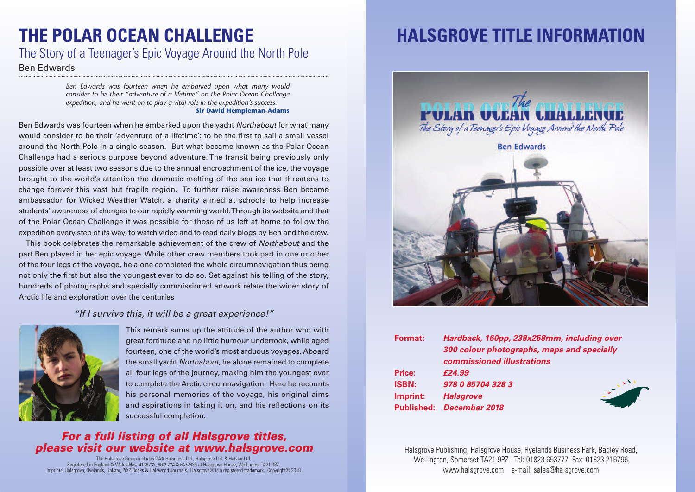## **THE POLAR OCEAN CHALLENGE**

### The Story of a Teenager's Epic Voyage Around the North Pole

#### Ben Edwards

*Ben Edwards was fourteen when he embarked upon what many would consider to be their "adventure of a lifetime" on the Polar Ocean Challenge expedition, and he went on to play a vital role in the expedition's success.* **Sir David Hempleman-Adams**

Ben Edwards was fourteen when he embarked upon the yacht *Northabout* for what many would consider to be their 'adventure of a lifetime': to be the first to sail a small vessel around the North Pole in a single season. But what became known as the Polar Ocean Challenge had a serious purpose beyond adventure. The transit being previously only possible over at least two seasons due to the annual encroachment of the ice, the voyage brought to the world's attention the dramatic melting of the sea ice that threatens to change forever this vast but fragile region. To further raise awareness Ben became ambassador for Wicked Weather Watch, a charity aimed at schools to help increase students' awareness of changes to our rapidly warming world.Through its website and that of the Polar Ocean Challenge it was possible for those of us left at home to follow the expedition every step of its way, to watch video and to read daily blogs by Ben and the crew.

This book celebrates the remarkable achievement of the crew of *Northabout* and the part Ben played in her epic voyage. While other crew members took part in one or other of the four legs of the voyage, he alone completed the whole circumnavigation thus being not only the first but also the youngest ever to do so. Set against his telling of the story, hundreds of photographs and specially commissioned artwork relate the wider story of Arctic life and exploration over the centuries

### *"If I survive this, it will be a great experience!"*



This remark sums up the attitude of the author who with great fortitude and no little humour undertook, while aged fourteen, one of the world's most arduous voyages. Aboard the small yacht *Northabout*, he alone remained to complete all four legs of the journey, making him the youngest ever to complete the Arctic circumnavigation. Here he recounts his personal memories of the voyage, his original aims and aspirations in taking it on, and his reflections on its successful completion.

### *For a full listing of all Halsgrove titles, please visit our website at www.halsgrove.com*

The Halsgrove Group includes DAA Halsgrove Ltd., Halsgrove Ltd. & Halstar Ltd. Registered in England & Wales Nos. 4136732, 6029724 & 6472636 at Halsgrove House, Wellington TA21 9PZ. Imprints: Halsgrove, Ryelands, Halstar, PiXZ Books & Halswood Journals. Halsgrove® is a registered trademark. Copyright© 2018

# **HALSGROVE TITLE INFORMATION**



| Format:       | Hardback, 160pp, 238x258mm, including over |
|---------------|--------------------------------------------|
|               | 300 colour photographs, maps and specially |
|               | commissioned illustrations                 |
| <b>Price:</b> | £24.99                                     |
| <b>ISBN:</b>  | 978 0 85704 328 3                          |
| Imprint:      | <b>Halsgrove</b>                           |
|               | <b>Published: December 2018</b>            |
|               |                                            |

Halsgrove Publishing, Halsgrove House, Ryelands Business Park, Bagley Road, Wellington, Somerset TA21 9PZ Tel: 01823 653777 Fax: 01823 216796 www.halsgrove.com e-mail: sales@halsgrove.com